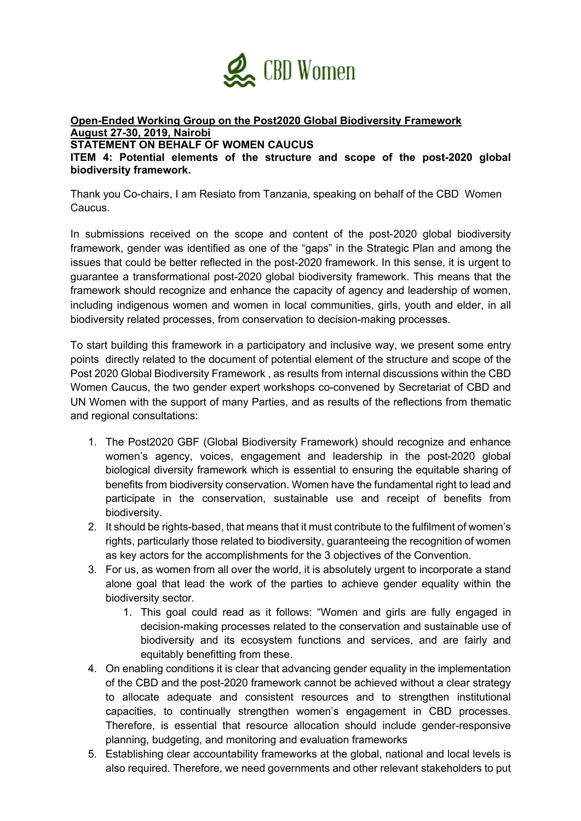

**Open-Ended Working Group on the Post2020 Global Biodiversity Framework August 27-30, 2019, Nairobi**

**STATEMENT ON BEHALF OF WOMEN CAUCUS**

**ITEM 4: Potential elements of the structure and scope of the post-2020 global biodiversity framework.** 

Thank you Co-chairs, I am Resiato from Tanzania, speaking on behalf of the CBD Women Caucus.

In submissions received on the scope and content of the post-2020 global biodiversity framework, gender was identified as one of the "gaps" in the Strategic Plan and among the issues that could be better reflected in the post-2020 framework. In this sense, it is urgent to guarantee a transformational post-2020 global biodiversity framework. This means that the framework should recognize and enhance the capacity of agency and leadership of women, including indigenous women and women in local communities, girls, youth and elder, in all biodiversity related processes, from conservation to decision-making processes.

To start building this framework in a participatory and inclusive way, we present some entry points directly related to the document of potential element of the structure and scope of the Post 2020 Global Biodiversity Framework , as results from internal discussions within the CBD Women Caucus, the two gender expert workshops co-convened by Secretariat of CBD and UN Women with the support of many Parties, and as results of the reflections from thematic and regional consultations:

- 1. The Post2020 GBF (Global Biodiversity Framework) should recognize and enhance women's agency, voices, engagement and leadership in the post-2020 global biological diversity framework which is essential to ensuring the equitable sharing of benefits from biodiversity conservation. Women have the fundamental right to lead and participate in the conservation, sustainable use and receipt of benefits from biodiversity.
- 2. It should be rights-based, that means that it must contribute to the fulfilment of women's rights, particularly those related to biodiversity, guaranteeing the recognition of women as key actors for the accomplishments for the 3 objectives of the Convention.
- 3. For us, as women from all over the world, it is absolutely urgent to incorporate a stand alone goal that lead the work of the parties to achieve gender equality within the biodiversity sector.
	- 1. This goal could read as it follows: "Women and girls are fully engaged in decision-making processes related to the conservation and sustainable use of biodiversity and its ecosystem functions and services, and are fairly and equitably benefitting from these.
- 4. On enabling conditions it is clear that advancing gender equality in the implementation of the CBD and the post-2020 framework cannot be achieved without a clear strategy to allocate adequate and consistent resources and to strengthen institutional capacities, to continually strengthen women's engagement in CBD processes. Therefore, is essential that resource allocation should include gender-responsive planning, budgeting, and monitoring and evaluation frameworks
- 5. Establishing clear accountability frameworks at the global, national and local levels is also required. Therefore, we need governments and other relevant stakeholders to put